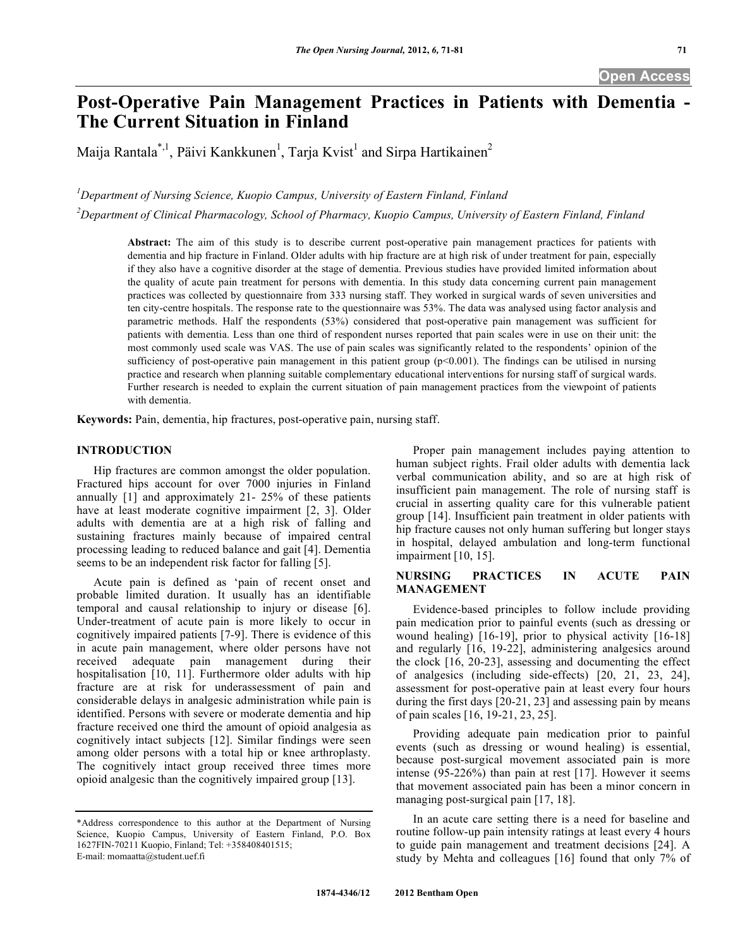# **Post-Operative Pain Management Practices in Patients with Dementia - The Current Situation in Finland**

Maija Rantala\*,<sup>1</sup>, Päivi Kankkunen<sup>1</sup>, Tarja Kvist<sup>1</sup> and Sirpa Hartikainen<sup>2</sup>

*1 Department of Nursing Science, Kuopio Campus, University of Eastern Finland, Finland*

*2 Department of Clinical Pharmacology, School of Pharmacy, Kuopio Campus, University of Eastern Finland, Finland*

**Abstract:** The aim of this study is to describe current post-operative pain management practices for patients with dementia and hip fracture in Finland. Older adults with hip fracture are at high risk of under treatment for pain, especially if they also have a cognitive disorder at the stage of dementia. Previous studies have provided limited information about the quality of acute pain treatment for persons with dementia. In this study data concerning current pain management practices was collected by questionnaire from 333 nursing staff. They worked in surgical wards of seven universities and ten city-centre hospitals. The response rate to the questionnaire was 53%. The data was analysed using factor analysis and parametric methods. Half the respondents (53%) considered that post-operative pain management was sufficient for patients with dementia. Less than one third of respondent nurses reported that pain scales were in use on their unit: the most commonly used scale was VAS. The use of pain scales was significantly related to the respondents' opinion of the sufficiency of post-operative pain management in this patient group (p<0.001). The findings can be utilised in nursing practice and research when planning suitable complementary educational interventions for nursing staff of surgical wards. Further research is needed to explain the current situation of pain management practices from the viewpoint of patients with dementia.

**Keywords:** Pain, dementia, hip fractures, post-operative pain, nursing staff.

# **INTRODUCTION**

 Hip fractures are common amongst the older population. Fractured hips account for over 7000 injuries in Finland annually [1] and approximately 21- 25% of these patients have at least moderate cognitive impairment [2, 3]. Older adults with dementia are at a high risk of falling and sustaining fractures mainly because of impaired central processing leading to reduced balance and gait [4]. Dementia seems to be an independent risk factor for falling [5].

 Acute pain is defined as 'pain of recent onset and probable limited duration. It usually has an identifiable temporal and causal relationship to injury or disease [6]. Under-treatment of acute pain is more likely to occur in cognitively impaired patients [7-9]. There is evidence of this in acute pain management, where older persons have not received adequate pain management during their hospitalisation [10, 11]. Furthermore older adults with hip fracture are at risk for underassessment of pain and considerable delays in analgesic administration while pain is identified. Persons with severe or moderate dementia and hip fracture received one third the amount of opioid analgesia as cognitively intact subjects [12]. Similar findings were seen among older persons with a total hip or knee arthroplasty. The cognitively intact group received three times more opioid analgesic than the cognitively impaired group [13].

 Proper pain management includes paying attention to human subject rights. Frail older adults with dementia lack verbal communication ability, and so are at high risk of insufficient pain management. The role of nursing staff is crucial in asserting quality care for this vulnerable patient group [14]. Insufficient pain treatment in older patients with hip fracture causes not only human suffering but longer stays in hospital, delayed ambulation and long-term functional impairment [10, 15].

# **NURSING PRACTICES IN ACUTE PAIN MANAGEMENT**

 Evidence-based principles to follow include providing pain medication prior to painful events (such as dressing or wound healing) [16-19], prior to physical activity [16-18] and regularly [16, 19-22], administering analgesics around the clock [16, 20-23], assessing and documenting the effect of analgesics (including side-effects) [20, 21, 23, 24], assessment for post-operative pain at least every four hours during the first days [20-21, 23] and assessing pain by means of pain scales [16, 19-21, 23, 25].

 Providing adequate pain medication prior to painful events (such as dressing or wound healing) is essential, because post-surgical movement associated pain is more intense (95-226%) than pain at rest [17]. However it seems that movement associated pain has been a minor concern in managing post-surgical pain [17, 18].

 In an acute care setting there is a need for baseline and routine follow-up pain intensity ratings at least every 4 hours to guide pain management and treatment decisions [24]. A study by Mehta and colleagues [16] found that only 7% of

<sup>\*</sup>Address correspondence to this author at the Department of Nursing Science, Kuopio Campus, University of Eastern Finland, P.O. Box 1627FIN-70211 Kuopio, Finland; Tel: +358408401515; E-mail: momaatta@student.uef.fi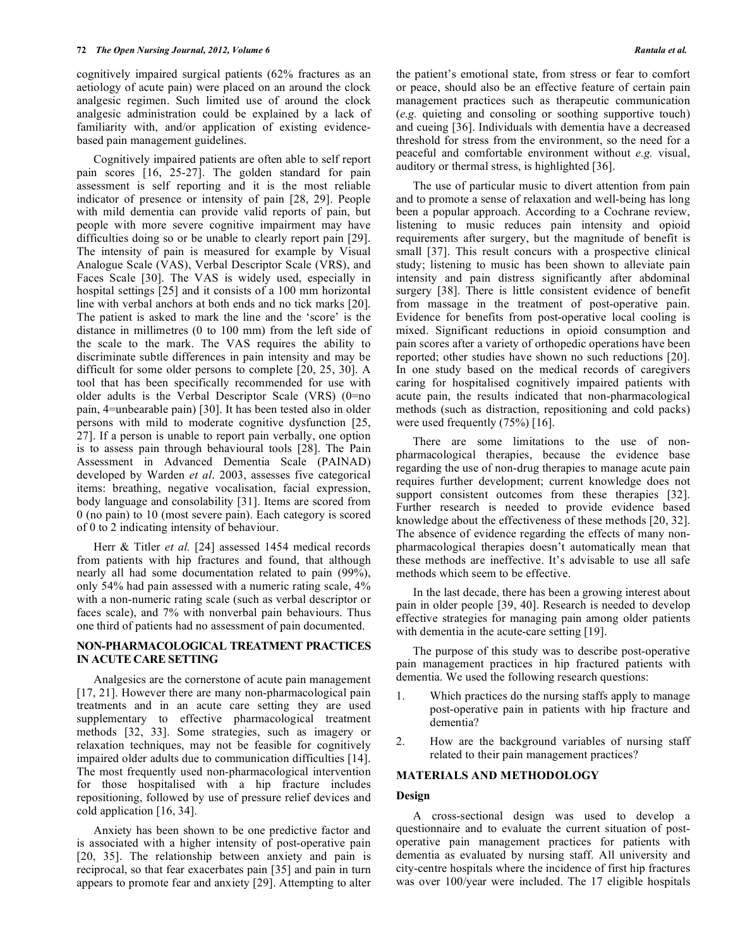cognitively impaired surgical patients (62% fractures as an aetiology of acute pain) were placed on an around the clock analgesic regimen. Such limited use of around the clock analgesic administration could be explained by a lack of familiarity with, and/or application of existing evidencebased pain management guidelines.

 Cognitively impaired patients are often able to self report pain scores [16, 25-27]. The golden standard for pain assessment is self reporting and it is the most reliable indicator of presence or intensity of pain [28, 29]. People with mild dementia can provide valid reports of pain, but people with more severe cognitive impairment may have difficulties doing so or be unable to clearly report pain [29]. The intensity of pain is measured for example by Visual Analogue Scale (VAS), Verbal Descriptor Scale (VRS), and Faces Scale [30]. The VAS is widely used, especially in hospital settings [25] and it consists of a 100 mm horizontal line with verbal anchors at both ends and no tick marks [20]. The patient is asked to mark the line and the 'score' is the distance in millimetres (0 to 100 mm) from the left side of the scale to the mark. The VAS requires the ability to discriminate subtle differences in pain intensity and may be difficult for some older persons to complete [20, 25, 30]. A tool that has been specifically recommended for use with older adults is the Verbal Descriptor Scale (VRS) (0=no pain, 4=unbearable pain) [30]. It has been tested also in older persons with mild to moderate cognitive dysfunction [25, 27]. If a person is unable to report pain verbally, one option is to assess pain through behavioural tools [28]. The Pain Assessment in Advanced Dementia Scale (PAINAD) developed by Warden *et al*. 2003, assesses five categorical items: breathing, negative vocalisation, facial expression, body language and consolability [31]. Items are scored from 0 (no pain) to 10 (most severe pain). Each category is scored of 0 to 2 indicating intensity of behaviour.

Herr & Titler *et al.* [24] assessed 1454 medical records from patients with hip fractures and found, that although nearly all had some documentation related to pain (99%), only 54% had pain assessed with a numeric rating scale, 4% with a non-numeric rating scale (such as verbal descriptor or faces scale), and 7% with nonverbal pain behaviours. Thus one third of patients had no assessment of pain documented.

# **NON-PHARMACOLOGICAL TREATMENT PRACTICES IN ACUTE CARE SETTING**

 Analgesics are the cornerstone of acute pain management [17, 21]. However there are many non-pharmacological pain treatments and in an acute care setting they are used supplementary to effective pharmacological treatment methods [32, 33]. Some strategies, such as imagery or relaxation techniques, may not be feasible for cognitively impaired older adults due to communication difficulties [14]. The most frequently used non-pharmacological intervention for those hospitalised with a hip fracture includes repositioning, followed by use of pressure relief devices and cold application [16, 34].

 Anxiety has been shown to be one predictive factor and is associated with a higher intensity of post-operative pain [20, 35]. The relationship between anxiety and pain is reciprocal, so that fear exacerbates pain [35] and pain in turn appears to promote fear and anxiety [29]. Attempting to alter

the patient's emotional state, from stress or fear to comfort or peace, should also be an effective feature of certain pain management practices such as therapeutic communication (*e.g.* quieting and consoling or soothing supportive touch) and cueing [36]. Individuals with dementia have a decreased threshold for stress from the environment, so the need for a peaceful and comfortable environment without *e.g.* visual, auditory or thermal stress, is highlighted [36].

 The use of particular music to divert attention from pain and to promote a sense of relaxation and well-being has long been a popular approach. According to a Cochrane review, listening to music reduces pain intensity and opioid requirements after surgery, but the magnitude of benefit is small [37]. This result concurs with a prospective clinical study; listening to music has been shown to alleviate pain intensity and pain distress significantly after abdominal surgery [38]. There is little consistent evidence of benefit from massage in the treatment of post-operative pain. Evidence for benefits from post-operative local cooling is mixed. Significant reductions in opioid consumption and pain scores after a variety of orthopedic operations have been reported; other studies have shown no such reductions [20]. In one study based on the medical records of caregivers caring for hospitalised cognitively impaired patients with acute pain, the results indicated that non-pharmacological methods (such as distraction, repositioning and cold packs) were used frequently (75%) [16].

 There are some limitations to the use of nonpharmacological therapies, because the evidence base regarding the use of non-drug therapies to manage acute pain requires further development; current knowledge does not support consistent outcomes from these therapies [32]. Further research is needed to provide evidence based knowledge about the effectiveness of these methods [20, 32]. The absence of evidence regarding the effects of many nonpharmacological therapies doesn't automatically mean that these methods are ineffective. It's advisable to use all safe methods which seem to be effective.

 In the last decade, there has been a growing interest about pain in older people [39, 40]. Research is needed to develop effective strategies for managing pain among older patients with dementia in the acute-care setting [19].

 The purpose of this study was to describe post-operative pain management practices in hip fractured patients with dementia. We used the following research questions:

- 1. Which practices do the nursing staffs apply to manage post-operative pain in patients with hip fracture and dementia?
- 2. How are the background variables of nursing staff related to their pain management practices?

# **MATERIALS AND METHODOLOGY**

### **Design**

 A cross-sectional design was used to develop a questionnaire and to evaluate the current situation of postoperative pain management practices for patients with dementia as evaluated by nursing staff. All university and city-centre hospitals where the incidence of first hip fractures was over 100/year were included. The 17 eligible hospitals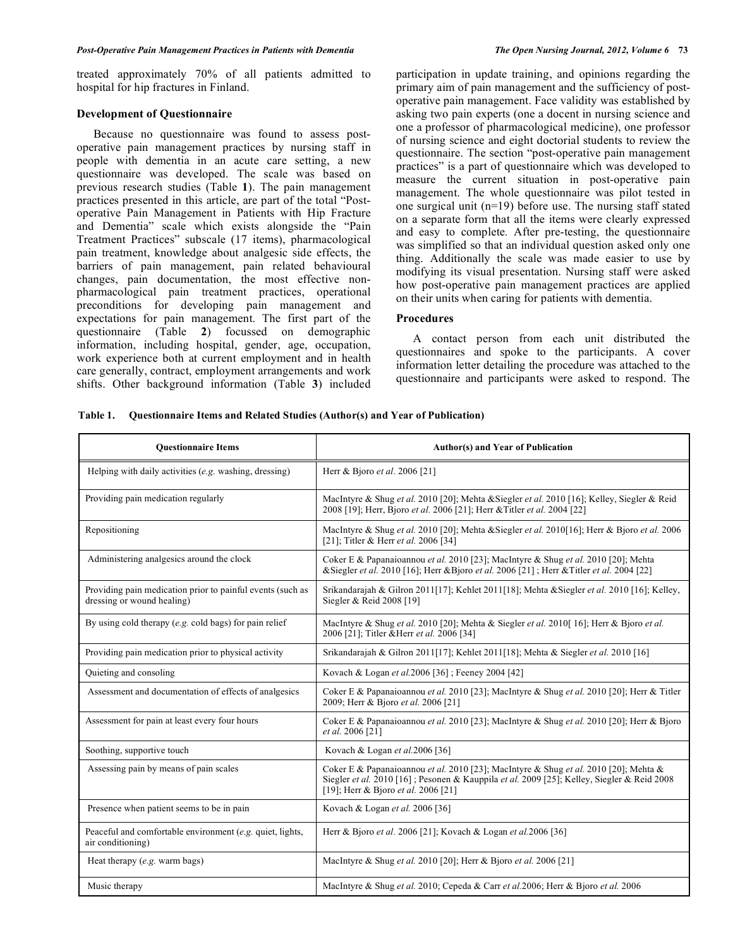treated approximately 70% of all patients admitted to hospital for hip fractures in Finland.

#### **Development of Questionnaire**

 Because no questionnaire was found to assess postoperative pain management practices by nursing staff in people with dementia in an acute care setting, a new questionnaire was developed. The scale was based on previous research studies (Table **1**). The pain management practices presented in this article, are part of the total "Postoperative Pain Management in Patients with Hip Fracture and Dementia" scale which exists alongside the "Pain Treatment Practices" subscale (17 items), pharmacological pain treatment, knowledge about analgesic side effects, the barriers of pain management, pain related behavioural changes, pain documentation, the most effective nonpharmacological pain treatment practices, operational preconditions for developing pain management and expectations for pain management. The first part of the questionnaire (Table **2**) focussed on demographic information, including hospital, gender, age, occupation, work experience both at current employment and in health care generally, contract, employment arrangements and work shifts. Other background information (Table **3**) included participation in update training, and opinions regarding the primary aim of pain management and the sufficiency of postoperative pain management. Face validity was established by asking two pain experts (one a docent in nursing science and one a professor of pharmacological medicine), one professor of nursing science and eight doctorial students to review the questionnaire. The section "post-operative pain management practices" is a part of questionnaire which was developed to measure the current situation in post-operative pain management. The whole questionnaire was pilot tested in one surgical unit (n=19) before use. The nursing staff stated on a separate form that all the items were clearly expressed and easy to complete*.* After pre-testing, the questionnaire was simplified so that an individual question asked only one thing. Additionally the scale was made easier to use by modifying its visual presentation. Nursing staff were asked how post-operative pain management practices are applied on their units when caring for patients with dementia.

# **Procedures**

 A contact person from each unit distributed the questionnaires and spoke to the participants. A cover information letter detailing the procedure was attached to the questionnaire and participants were asked to respond. The

|  | Table 1. Questionnaire Items and Related Studies (Author(s) and Year of Publication) |  |
|--|--------------------------------------------------------------------------------------|--|
|--|--------------------------------------------------------------------------------------|--|

| <b>Ouestionnaire Items</b>                                                               | <b>Author(s) and Year of Publication</b>                                                                                                                                                                                  |
|------------------------------------------------------------------------------------------|---------------------------------------------------------------------------------------------------------------------------------------------------------------------------------------------------------------------------|
| Helping with daily activities $(e.g.$ washing, dressing)                                 | Herr & Bjoro et al. 2006 [21]                                                                                                                                                                                             |
| Providing pain medication regularly                                                      | MacIntyre & Shug et al. 2010 [20]; Mehta & Siegler et al. 2010 [16]; Kelley, Siegler & Reid<br>2008 [19]; Herr, Bjoro et al. 2006 [21]; Herr & Titler et al. 2004 [22]                                                    |
| Repositioning                                                                            | MacIntyre & Shug et al. 2010 [20]; Mehta & Siegler et al. 2010 [16]; Herr & Bjoro et al. 2006<br>[21]; Titler & Herr et al. 2006 [34]                                                                                     |
| Administering analgesics around the clock                                                | Coker E & Papanaioannou et al. 2010 [23]; MacIntyre & Shug et al. 2010 [20]; Mehta<br>& Siegler <i>et al.</i> 2010 [16]; Herr & Bjoro <i>et al.</i> 2006 [21]; Herr & Titler <i>et al.</i> 2004 [22]                      |
| Providing pain medication prior to painful events (such as<br>dressing or wound healing) | Srikandarajah & Gilron 2011[17]; Kehlet 2011[18]; Mehta & Siegler <i>et al.</i> 2010 [16]; Kelley,<br>Siegler & Reid 2008 [19]                                                                                            |
| By using cold therapy (e.g. cold bags) for pain relief                                   | MacIntyre & Shug et al. 2010 [20]; Mehta & Siegler et al. 2010[16]; Herr & Bjoro et al.<br>2006 [21]; Titler & Herr et al. 2006 [34]                                                                                      |
| Providing pain medication prior to physical activity                                     | Srikandarajah & Gilron 2011[17]; Kehlet 2011[18]; Mehta & Siegler et al. 2010 [16]                                                                                                                                        |
| Quieting and consoling                                                                   | Kovach & Logan et al.2006 [36]; Feeney 2004 [42]                                                                                                                                                                          |
| Assessment and documentation of effects of analgesics                                    | Coker E & Papanaioannou et al. 2010 [23]; MacIntyre & Shug et al. 2010 [20]; Herr & Titler<br>2009; Herr & Bjoro et al. 2006 [21]                                                                                         |
| Assessment for pain at least every four hours                                            | Coker E & Papanaioannou et al. 2010 [23]; MacIntyre & Shug et al. 2010 [20]; Herr & Bjoro<br>et al. 2006 [21]                                                                                                             |
| Soothing, supportive touch                                                               | Kovach & Logan et al.2006 [36]                                                                                                                                                                                            |
| Assessing pain by means of pain scales                                                   | Coker E & Papanaioannou et al. 2010 [23]; MacIntyre & Shug et al. 2010 [20]; Mehta &<br>Siegler et al. 2010 [16]; Pesonen & Kauppila et al. 2009 [25]; Kelley, Siegler & Reid 2008<br>[19]; Herr & Bjoro et al. 2006 [21] |
| Presence when patient seems to be in pain                                                | Kovach & Logan et al. 2006 [36]                                                                                                                                                                                           |
| Peaceful and comfortable environment (e.g. quiet, lights,<br>air conditioning)           | Herr & Bjoro et al. 2006 [21]; Kovach & Logan et al.2006 [36]                                                                                                                                                             |
| Heat therapy (e.g. warm bags)                                                            | MacIntyre & Shug et al. 2010 [20]; Herr & Bjoro et al. 2006 [21]                                                                                                                                                          |
| Music therapy                                                                            | MacIntyre & Shug et al. 2010; Cepeda & Carr et al. 2006; Herr & Bjoro et al. 2006                                                                                                                                         |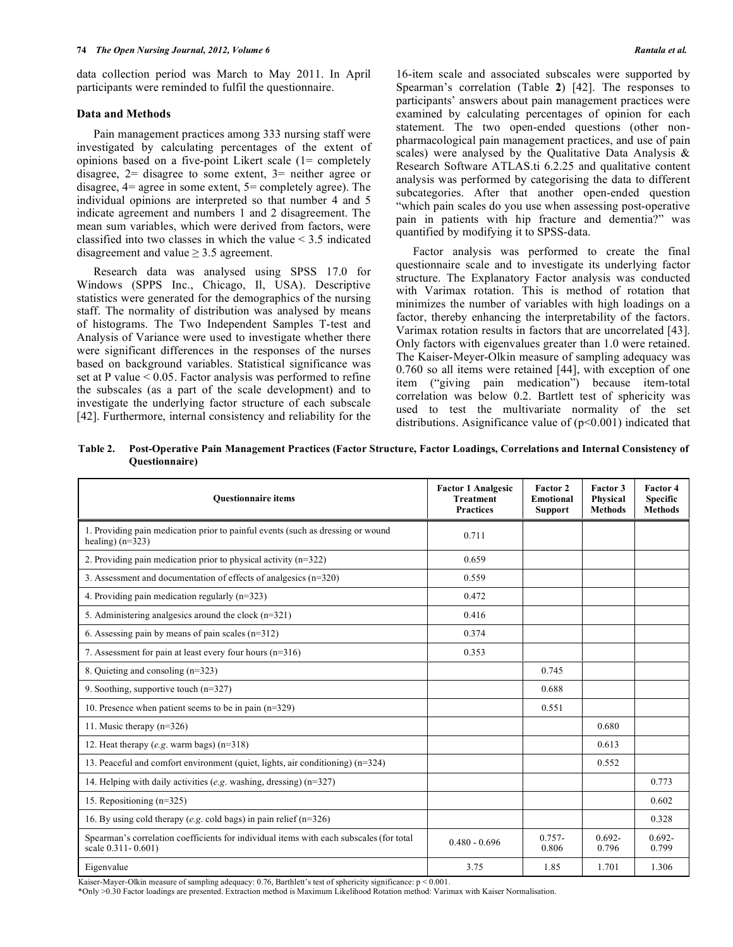data collection period was March to May 2011. In April participants were reminded to fulfil the questionnaire.

# **Data and Methods**

 Pain management practices among 333 nursing staff were investigated by calculating percentages of the extent of opinions based on a five-point Likert scale (1= completely disagree, 2= disagree to some extent, 3= neither agree or disagree, 4= agree in some extent, 5= completely agree). The individual opinions are interpreted so that number 4 and 5 indicate agreement and numbers 1 and 2 disagreement. The mean sum variables, which were derived from factors, were classified into two classes in which the value < 3.5 indicated disagreement and value  $\geq$  3.5 agreement.

 Research data was analysed using SPSS 17.0 for Windows (SPPS Inc., Chicago, Il, USA). Descriptive statistics were generated for the demographics of the nursing staff. The normality of distribution was analysed by means of histograms. The Two Independent Samples T-test and Analysis of Variance were used to investigate whether there were significant differences in the responses of the nurses based on background variables. Statistical significance was set at P value  $\leq 0.05$ . Factor analysis was performed to refine the subscales (as a part of the scale development) and to investigate the underlying factor structure of each subscale [42]. Furthermore, internal consistency and reliability for the

16-item scale and associated subscales were supported by Spearman's correlation (Table **2**) [42]. The responses to participants' answers about pain management practices were examined by calculating percentages of opinion for each statement. The two open-ended questions (other nonpharmacological pain management practices, and use of pain scales) were analysed by the Qualitative Data Analysis & Research Software ATLAS.ti 6.2.25 and qualitative content analysis was performed by categorising the data to different subcategories. After that another open-ended question "which pain scales do you use when assessing post-operative pain in patients with hip fracture and dementia?" was quantified by modifying it to SPSS-data.

 Factor analysis was performed to create the final questionnaire scale and to investigate its underlying factor structure. The Explanatory Factor analysis was conducted with Varimax rotation. This is method of rotation that minimizes the number of variables with high loadings on a factor, thereby enhancing the interpretability of the factors. Varimax rotation results in factors that are uncorrelated [43]. Only factors with eigenvalues greater than 1.0 were retained. The Kaiser-Meyer-Olkin measure of sampling adequacy was 0.760 so all items were retained [44], with exception of one item ("giving pain medication") because item-total correlation was below 0.2. Bartlett test of sphericity was used to test the multivariate normality of the set distributions. Asignificance value of  $(p<0.001)$  indicated that

**Table 2. Post-Operative Pain Management Practices (Factor Structure, Factor Loadings, Correlations and Internal Consistency of Questionnaire)** 

| <b>Ouestionnaire items</b>                                                                                    | <b>Factor 1 Analgesic</b><br><b>Treatment</b><br><b>Practices</b> | Factor 2<br><b>Emotional</b><br><b>Support</b> | Factor 3<br>Physical<br><b>Methods</b> | Factor 4<br><b>Specific</b><br><b>Methods</b> |
|---------------------------------------------------------------------------------------------------------------|-------------------------------------------------------------------|------------------------------------------------|----------------------------------------|-----------------------------------------------|
| 1. Providing pain medication prior to painful events (such as dressing or wound<br>healing) $(n=323)$         | 0.711                                                             |                                                |                                        |                                               |
| 2. Providing pain medication prior to physical activity $(n=322)$                                             | 0.659                                                             |                                                |                                        |                                               |
| 3. Assessment and documentation of effects of analgesics $(n=320)$                                            | 0.559                                                             |                                                |                                        |                                               |
| 4. Providing pain medication regularly $(n=323)$                                                              | 0.472                                                             |                                                |                                        |                                               |
| 5. Administering analgesics around the clock $(n=321)$                                                        | 0.416                                                             |                                                |                                        |                                               |
| 6. Assessing pain by means of pain scales $(n=312)$                                                           | 0.374                                                             |                                                |                                        |                                               |
| 7. Assessment for pain at least every four hours $(n=316)$                                                    | 0.353                                                             |                                                |                                        |                                               |
| 8. Quieting and consoling (n=323)                                                                             |                                                                   | 0.745                                          |                                        |                                               |
| 9. Soothing, supportive touch $(n=327)$                                                                       |                                                                   | 0.688                                          |                                        |                                               |
| 10. Presence when patient seems to be in pain $(n=329)$                                                       |                                                                   | 0.551                                          |                                        |                                               |
| 11. Music therapy $(n=326)$                                                                                   |                                                                   |                                                | 0.680                                  |                                               |
| 12. Heat therapy (e.g. warm bags) $(n=318)$                                                                   |                                                                   |                                                | 0.613                                  |                                               |
| 13. Peaceful and comfort environment (quiet, lights, air conditioning) (n=324)                                |                                                                   |                                                | 0.552                                  |                                               |
| 14. Helping with daily activities (e.g. washing, dressing) $(n=327)$                                          |                                                                   |                                                |                                        | 0.773                                         |
| 15. Repositioning (n=325)                                                                                     |                                                                   |                                                |                                        | 0.602                                         |
| 16. By using cold therapy (e.g. cold bags) in pain relief $(n=326)$                                           |                                                                   |                                                |                                        | 0.328                                         |
| Spearman's correlation coefficients for individual items with each subscales (for total<br>scale 0.311-0.601) | $0.480 - 0.696$                                                   | $0.757 -$<br>0.806                             | $0.692 -$<br>0.796                     | $0.692 -$<br>0.799                            |
| Eigenvalue                                                                                                    | 3.75                                                              | 1.85                                           | 1.701                                  | 1.306                                         |

Kaiser-Mayer-Olkin measure of sampling adequacy: 0.76, Barthlett's test of sphericity significance:  $p < 0.001$ .

\*Only >0.30 Factor loadings are presented. Extraction method is Maximum Likelihood Rotation method: Varimax with Kaiser Normalisation.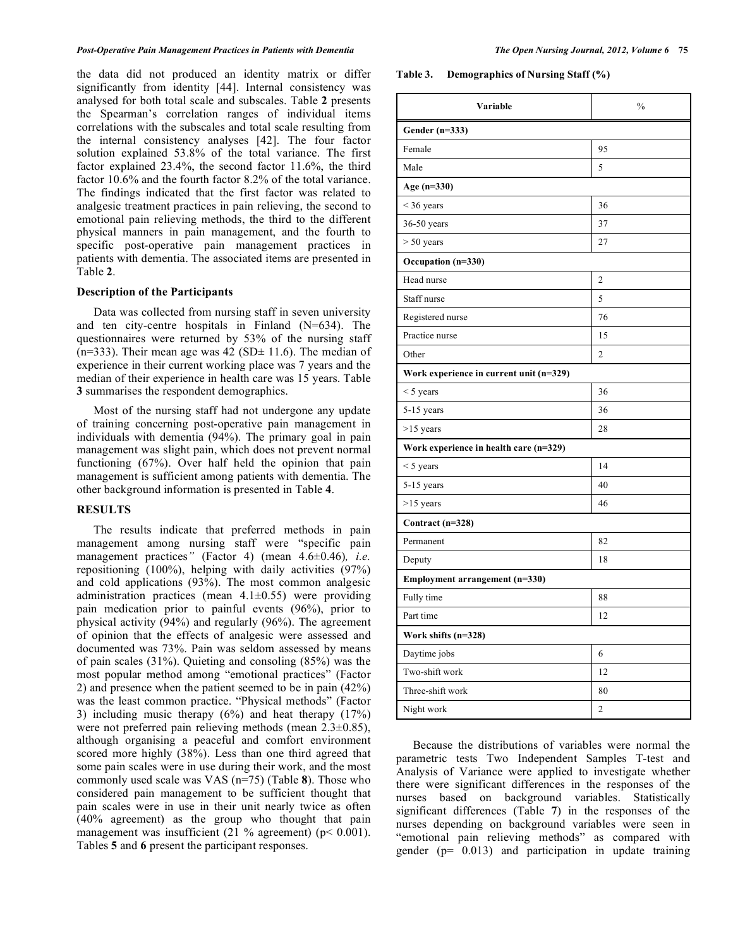the data did not produced an identity matrix or differ significantly from identity [44]. Internal consistency was analysed for both total scale and subscales. Table **2** presents the Spearman's correlation ranges of individual items correlations with the subscales and total scale resulting from the internal consistency analyses [42]. The four factor solution explained 53.8% of the total variance. The first factor explained 23.4%, the second factor 11.6%, the third factor 10.6% and the fourth factor 8.2% of the total variance. The findings indicated that the first factor was related to analgesic treatment practices in pain relieving, the second to emotional pain relieving methods, the third to the different physical manners in pain management, and the fourth to specific post-operative pain management practices in patients with dementia. The associated items are presented in Table **2**.

# **Description of the Participants**

 Data was collected from nursing staff in seven university and ten city-centre hospitals in Finland (N=634). The questionnaires were returned by 53% of the nursing staff (n=333). Their mean age was  $42$  (SD $\pm$  11.6). The median of experience in their current working place was 7 years and the median of their experience in health care was 15 years. Table **3** summarises the respondent demographics.

 Most of the nursing staff had not undergone any update of training concerning post-operative pain management in individuals with dementia (94%). The primary goal in pain management was slight pain, which does not prevent normal functioning (67%). Over half held the opinion that pain management is sufficient among patients with dementia. The other background information is presented in Table **4**.

## **RESULTS**

 The results indicate that preferred methods in pain management among nursing staff were "specific pain management practices*"* (Factor 4) (mean 4.6±0.46)*, i.e.* repositioning (100%), helping with daily activities (97%) and cold applications (93%). The most common analgesic administration practices (mean  $4.1 \pm 0.55$ ) were providing pain medication prior to painful events (96%), prior to physical activity (94%) and regularly (96%). The agreement of opinion that the effects of analgesic were assessed and documented was 73%. Pain was seldom assessed by means of pain scales (31%). Quieting and consoling (85%) was the most popular method among "emotional practices" (Factor 2) and presence when the patient seemed to be in pain (42%) was the least common practice. "Physical methods" (Factor 3) including music therapy (6%) and heat therapy (17%) were not preferred pain relieving methods (mean 2.3±0.85), although organising a peaceful and comfort environment scored more highly (38%). Less than one third agreed that some pain scales were in use during their work, and the most commonly used scale was VAS (n=75) (Table **8**). Those who considered pain management to be sufficient thought that pain scales were in use in their unit nearly twice as often (40% agreement) as the group who thought that pain management was insufficient (21 % agreement) ( $p < 0.001$ ). Tables **5** and **6** present the participant responses.

**Table 3. Demographics of Nursing Staff (%)** 

| Variable                                  | $\frac{0}{0}$  |  |  |  |  |
|-------------------------------------------|----------------|--|--|--|--|
| Gender $(n=333)$                          |                |  |  |  |  |
| Female                                    | 95             |  |  |  |  |
| Male                                      | 5              |  |  |  |  |
| Age (n=330)                               |                |  |  |  |  |
| $<$ 36 years                              | 36             |  |  |  |  |
| 36-50 years                               | 37             |  |  |  |  |
| $> 50$ years                              | 27             |  |  |  |  |
| Occupation (n=330)                        |                |  |  |  |  |
| Head nurse                                | $\overline{2}$ |  |  |  |  |
| Staff nurse                               | 5              |  |  |  |  |
| Registered nurse                          | 76             |  |  |  |  |
| Practice nurse                            | 15             |  |  |  |  |
| Other                                     | $\overline{2}$ |  |  |  |  |
| Work experience in current unit $(n=329)$ |                |  |  |  |  |
| $<$ 5 years                               | 36             |  |  |  |  |
| $5-15$ years                              | 36             |  |  |  |  |
| $>15$ years                               | 28             |  |  |  |  |
| Work experience in health care (n=329)    |                |  |  |  |  |
| $<$ 5 years                               | 14             |  |  |  |  |
| 5-15 years                                | 40             |  |  |  |  |
| $>15$ years                               | 46             |  |  |  |  |
| Contract (n=328)                          |                |  |  |  |  |
| Permanent                                 | 82             |  |  |  |  |
| Deputy                                    | 18             |  |  |  |  |
| Employment arrangement (n=330)            |                |  |  |  |  |
| Fully time                                | 88             |  |  |  |  |
| Part time                                 | 12             |  |  |  |  |
| Work shifts $(n=328)$                     |                |  |  |  |  |
| Daytime jobs                              | 6              |  |  |  |  |
| Two-shift work                            | 12             |  |  |  |  |
| Three-shift work                          | 80             |  |  |  |  |
| Night work                                | 2              |  |  |  |  |

 Because the distributions of variables were normal the parametric tests Two Independent Samples T-test and Analysis of Variance were applied to investigate whether there were significant differences in the responses of the nurses based on background variables. Statistically significant differences (Table **7**) in the responses of the nurses depending on background variables were seen in "emotional pain relieving methods" as compared with gender  $(p= 0.013)$  and participation in update training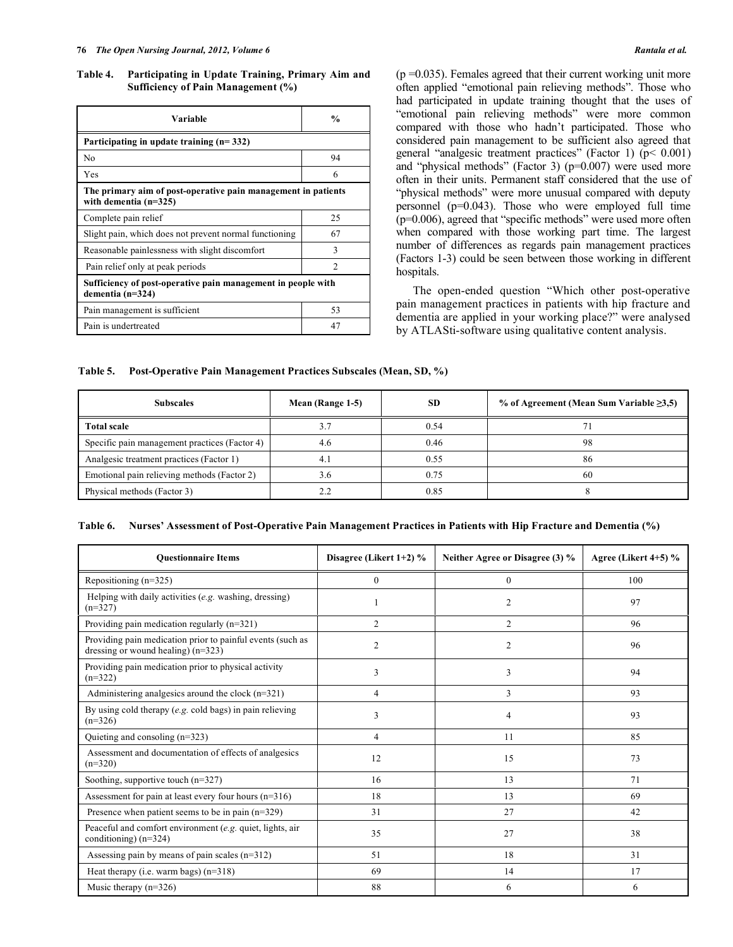**Table 4. Participating in Update Training, Primary Aim and Sufficiency of Pain Management (%)** 

| Variable                                                                                 | $\frac{0}{0}$  |  |  |  |  |
|------------------------------------------------------------------------------------------|----------------|--|--|--|--|
| Participating in update training $(n=332)$                                               |                |  |  |  |  |
| No                                                                                       | 94             |  |  |  |  |
| Yes                                                                                      | 6              |  |  |  |  |
| The primary aim of post-operative pain management in patients<br>with dementia $(n=325)$ |                |  |  |  |  |
| Complete pain relief                                                                     | 25             |  |  |  |  |
| Slight pain, which does not prevent normal functioning                                   | 67             |  |  |  |  |
| Reasonable painlessness with slight discomfort                                           | 3              |  |  |  |  |
| Pain relief only at peak periods                                                         | $\mathfrak{D}$ |  |  |  |  |
| Sufficiency of post-operative pain management in people with<br>dementia $(n=324)$       |                |  |  |  |  |
| Pain management is sufficient                                                            | 53             |  |  |  |  |
| Pain is undertreated                                                                     | 47             |  |  |  |  |

 $(p = 0.035)$ . Females agreed that their current working unit more often applied "emotional pain relieving methods". Those who had participated in update training thought that the uses of "emotional pain relieving methods" were more common compared with those who hadn't participated. Those who considered pain management to be sufficient also agreed that general "analgesic treatment practices" (Factor 1) (p< 0.001) and "physical methods" (Factor 3) (p=0.007) were used more often in their units. Permanent staff considered that the use of "physical methods" were more unusual compared with deputy personnel (p=0.043). Those who were employed full time (p=0.006), agreed that "specific methods" were used more often when compared with those working part time. The largest number of differences as regards pain management practices (Factors 1-3) could be seen between those working in different hospitals.

 The open-ended question "Which other post-operative pain management practices in patients with hip fracture and dementia are applied in your working place?" were analysed by ATLASti-software using qualitative content analysis.

**Table 5. Post-Operative Pain Management Practices Subscales (Mean, SD, %)** 

| <b>Subscales</b>                              | Mean (Range 1-5) | <b>SD</b> | % of Agreement (Mean Sum Variable $\geq 3.5$ ) |
|-----------------------------------------------|------------------|-----------|------------------------------------------------|
| <b>Total scale</b>                            | 3.7              | 0.54      |                                                |
| Specific pain management practices (Factor 4) | 4.6              | 0.46      | 98                                             |
| Analgesic treatment practices (Factor 1)      | 4.1              | 0.55      | 86                                             |
| Emotional pain relieving methods (Factor 2)   | 3.6              | 0.75      | 60                                             |
| Physical methods (Factor 3)                   | 2.2              | 0.85      |                                                |

| Table 6. Nurses' Assessment of Post-Operative Pain Management Practices in Patients with Hip Fracture and Dementia (%) |  |  |
|------------------------------------------------------------------------------------------------------------------------|--|--|
|                                                                                                                        |  |  |

| <b>Ouestionnaire Items</b>                                                                         | Disagree (Likert 1+2) % | Neither Agree or Disagree (3) % | Agree (Likert $4+5$ ) % |
|----------------------------------------------------------------------------------------------------|-------------------------|---------------------------------|-------------------------|
| Repositioning $(n=325)$                                                                            | $\mathbf{0}$            | $\mathbf{0}$                    | 100                     |
| Helping with daily activities (e.g. washing, dressing)<br>$(n=327)$                                |                         | $\overline{c}$                  | 97                      |
| Providing pain medication regularly $(n=321)$                                                      | $\overline{2}$          | $\overline{2}$                  | 96                      |
| Providing pain medication prior to painful events (such as<br>dressing or wound healing) $(n=323)$ | $\overline{2}$          | $\overline{2}$                  | 96                      |
| Providing pain medication prior to physical activity<br>$(n=322)$                                  | 3                       | 3                               | 94                      |
| Administering analgesics around the clock $(n=321)$                                                | $\overline{4}$          | 3                               | 93                      |
| By using cold therapy (e.g. cold bags) in pain relieving<br>$(n=326)$                              | 3                       | 4                               | 93                      |
| Quieting and consoling $(n=323)$                                                                   | $\overline{4}$          | 11                              | 85                      |
| Assessment and documentation of effects of analgesics<br>$(n=320)$                                 | 12                      | 15                              | 73                      |
| Soothing, supportive touch $(n=327)$                                                               | 16                      | 13                              | 71                      |
| Assessment for pain at least every four hours $(n=316)$                                            | 18                      | 13                              | 69                      |
| Presence when patient seems to be in pain $(n=329)$                                                | 31                      | 27                              | 42                      |
| Peaceful and comfort environment (e.g. quiet, lights, air<br>conditioning) $(n=324)$               | 35                      | 27                              | 38                      |
| Assessing pain by means of pain scales $(n=312)$                                                   | 51                      | 18                              | 31                      |
| Heat therapy (i.e. warm bags) $(n=318)$                                                            | 69                      | 14                              | 17                      |
| Music therapy $(n=326)$                                                                            | 88                      | 6                               | 6                       |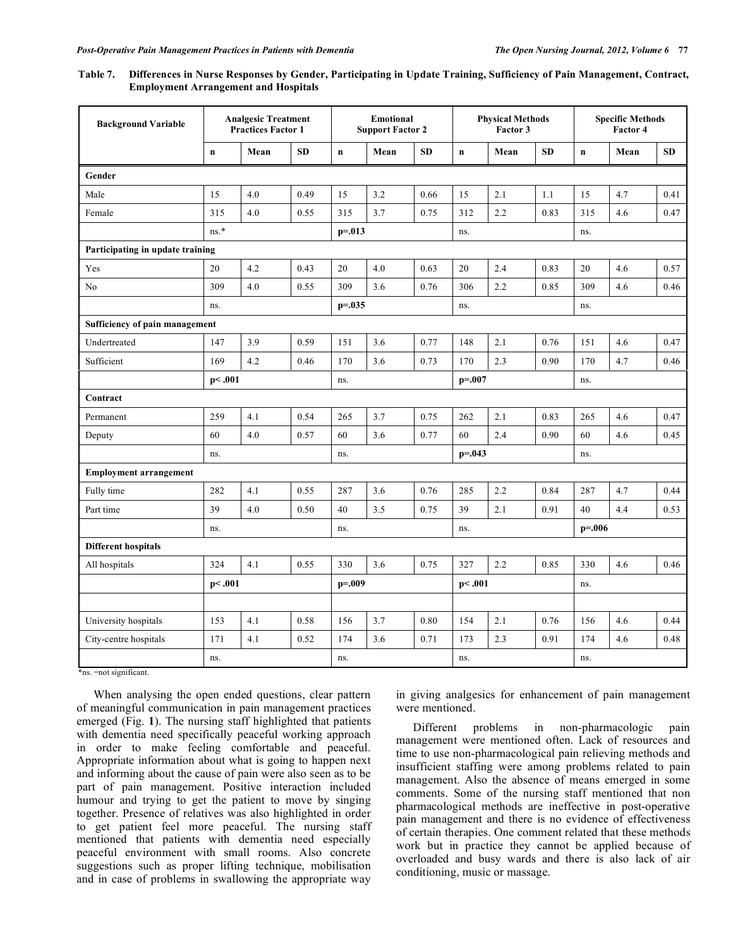| Table 7. Differences in Nurse Responses by Gender, Participating in Update Training, Sufficiency of Pain Management, Contract, |
|--------------------------------------------------------------------------------------------------------------------------------|
| <b>Employment Arrangement and Hospitals</b>                                                                                    |

| <b>Background Variable</b>       | <b>Analgesic Treatment</b><br><b>Practices Factor 1</b> |      |      | <b>Emotional</b><br><b>Support Factor 2</b> |      |           | <b>Physical Methods</b><br>Factor 3 |             | <b>Specific Methods</b><br>Factor 4 |             |      |           |
|----------------------------------|---------------------------------------------------------|------|------|---------------------------------------------|------|-----------|-------------------------------------|-------------|-------------------------------------|-------------|------|-----------|
|                                  | $\mathbf n$                                             | Mean | SD   | $\mathbf n$                                 | Mean | <b>SD</b> | $\mathbf n$                         | Mean        | <b>SD</b>                           | $\mathbf n$ | Mean | <b>SD</b> |
| Gender                           |                                                         |      |      |                                             |      |           |                                     |             |                                     |             |      |           |
| Male                             | 15                                                      | 4.0  | 0.49 | 15                                          | 3.2  | 0.66      | 15                                  | 2.1         | 1.1                                 | 15          | 4.7  | 0.41      |
| Female                           | 315                                                     | 4.0  | 0.55 | 315                                         | 3.7  | 0.75      | 312                                 | 2.2         | 0.83                                | 315         | 4.6  | 0.47      |
|                                  | $\mathrm{ns}.^*$                                        |      |      | $p = 0.013$                                 |      |           | ns.                                 |             |                                     | ns.         |      |           |
| Participating in update training |                                                         |      |      |                                             |      |           |                                     |             |                                     |             |      |           |
| Yes                              | 20                                                      | 4.2  | 0.43 | 20                                          | 4.0  | 0.63      | 20                                  | 2.4         | 0.83                                | 20          | 4.6  | 0.57      |
| No                               | 309                                                     | 4.0  | 0.55 | 309                                         | 3.6  | 0.76      | 306                                 | 2.2         | 0.85                                | 309         | 4.6  | 0.46      |
|                                  | ns.                                                     |      |      | $p = 0.035$                                 |      |           | ns.                                 |             |                                     | ns.         |      |           |
| Sufficiency of pain management   |                                                         |      |      |                                             |      |           |                                     |             |                                     |             |      |           |
| Undertreated                     | 147                                                     | 3.9  | 0.59 | 151                                         | 3.6  | 0.77      | 148                                 | 2.1         | 0.76                                | 151         | 4.6  | 0.47      |
| Sufficient                       | 169                                                     | 4.2  | 0.46 | 170                                         | 3.6  | 0.73      | 170                                 | 2.3         | 0.90                                | 170         | 4.7  | 0.46      |
|                                  | p<.001                                                  |      |      | ns.                                         |      |           |                                     | $p = 0.007$ |                                     | ns.         |      |           |
| Contract                         |                                                         |      |      |                                             |      |           |                                     |             |                                     |             |      |           |
| Permanent                        | 259                                                     | 4.1  | 0.54 | 265                                         | 3.7  | 0.75      | 262                                 | 2.1         | 0.83                                | 265         | 4.6  | 0.47      |
| Deputy                           | 60                                                      | 4.0  | 0.57 | 60                                          | 3.6  | 0.77      | 60                                  | 2.4         | 0.90                                | 60          | 4.6  | 0.45      |
|                                  | ns.                                                     |      |      | ns.                                         |      |           | $p = 0.043$                         |             | ns.                                 |             |      |           |
| <b>Employment arrangement</b>    |                                                         |      |      |                                             |      |           |                                     |             |                                     |             |      |           |
| Fully time                       | 282                                                     | 4.1  | 0.55 | 287                                         | 3.6  | 0.76      | 285                                 | 2.2         | 0.84                                | 287         | 4.7  | 0.44      |
| Part time                        | 39                                                      | 4.0  | 0.50 | 40                                          | 3.5  | 0.75      | 39                                  | 2.1         | 0.91                                | 40          | 4.4  | 0.53      |
|                                  | ns.                                                     |      |      | ns.                                         |      | ns.       |                                     | $p = 0.006$ |                                     |             |      |           |
| <b>Different hospitals</b>       |                                                         |      |      |                                             |      |           |                                     |             |                                     |             |      |           |
| All hospitals                    | 324                                                     | 4.1  | 0.55 | 330                                         | 3.6  | 0.75      | 327                                 | 2.2         | 0.85                                | 330         | 4.6  | 0.46      |
|                                  | p<.001                                                  |      |      | $p = 0.09$                                  |      |           | p<.001                              |             |                                     | ns.         |      |           |
|                                  |                                                         |      |      |                                             |      |           |                                     |             |                                     |             |      |           |
| University hospitals             | 153                                                     | 4.1  | 0.58 | 156                                         | 3.7  | 0.80      | 154                                 | 2.1         | 0.76                                | 156         | 4.6  | 0.44      |
| City-centre hospitals            | 171                                                     | 4.1  | 0.52 | 174                                         | 3.6  | 0.71      | 173                                 | 2.3         | 0.91                                | 174         | 4.6  | 0.48      |
|                                  | ns.                                                     |      |      | ns.                                         |      |           | ns.                                 |             |                                     | ns.         |      |           |

\*ns. =not significant.

 When analysing the open ended questions, clear pattern of meaningful communication in pain management practices emerged (Fig. **1**). The nursing staff highlighted that patients with dementia need specifically peaceful working approach in order to make feeling comfortable and peaceful. Appropriate information about what is going to happen next and informing about the cause of pain were also seen as to be part of pain management. Positive interaction included humour and trying to get the patient to move by singing together. Presence of relatives was also highlighted in order to get patient feel more peaceful. The nursing staff mentioned that patients with dementia need especially peaceful environment with small rooms. Also concrete suggestions such as proper lifting technique, mobilisation and in case of problems in swallowing the appropriate way

in giving analgesics for enhancement of pain management were mentioned.

Different problems in non-pharmacologic pain management were mentioned often. Lack of resources and time to use non-pharmacological pain relieving methods and insufficient staffing were among problems related to pain management. Also the absence of means emerged in some comments. Some of the nursing staff mentioned that non pharmacological methods are ineffective in post-operative pain management and there is no evidence of effectiveness of certain therapies. One comment related that these methods work but in practice they cannot be applied because of overloaded and busy wards and there is also lack of air conditioning, music or massage.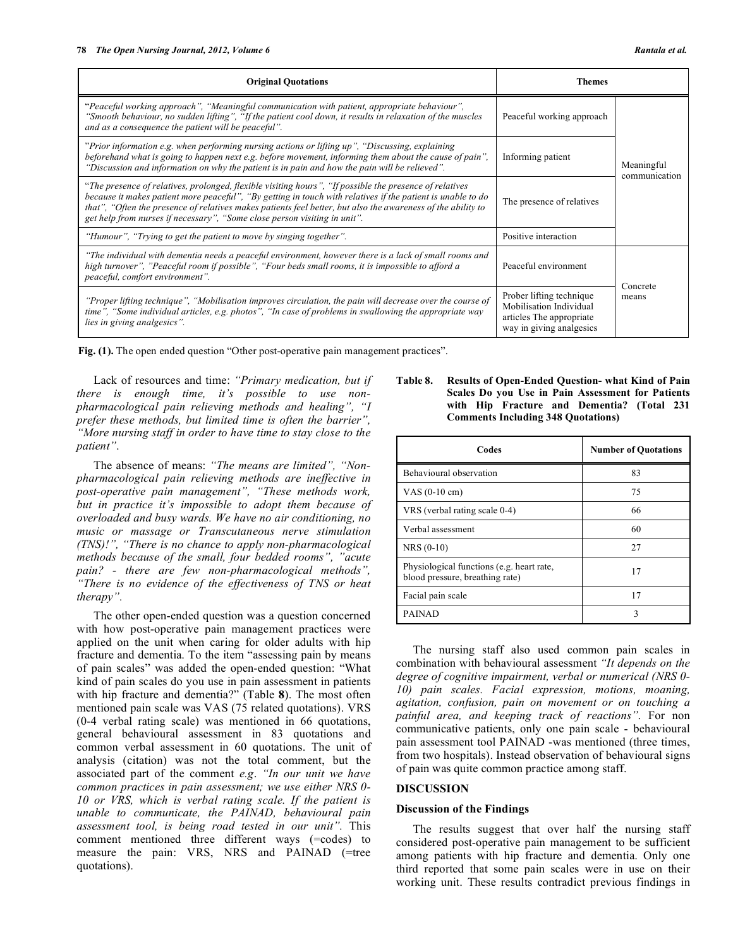| <b>Original Quotations</b>                                                                                                                                                                                                                                                                                                                                                                                           | Themes                                                                                                      |                             |  |
|----------------------------------------------------------------------------------------------------------------------------------------------------------------------------------------------------------------------------------------------------------------------------------------------------------------------------------------------------------------------------------------------------------------------|-------------------------------------------------------------------------------------------------------------|-----------------------------|--|
| "Peaceful working approach", "Meaningful communication with patient, appropriate behaviour",<br>"Smooth behaviour, no sudden lifting", "If the patient cool down, it results in relaxation of the muscles<br>and as a consequence the patient will be peaceful".                                                                                                                                                     | Peaceful working approach                                                                                   |                             |  |
| "Prior information e.g. when performing nursing actions or lifting up", "Discussing, explaining"<br>beforehand what is going to happen next e.g. before movement, informing them about the cause of pain",<br>"Discussion and information on why the patient is in pain and how the pain will be relieved".                                                                                                          | Informing patient                                                                                           | Meaningful<br>communication |  |
| "The presence of relatives, prolonged, flexible visiting hours", "If possible the presence of relatives"<br>because it makes patient more peaceful", "By getting in touch with relatives if the patient is unable to do<br>that", "Often the presence of relatives makes patients feel better, but also the awareness of the ability to<br>get help from nurses if necessary", "Some close person visiting in unit". | The presence of relatives                                                                                   |                             |  |
| "Humour", "Trying to get the patient to move by singing together".                                                                                                                                                                                                                                                                                                                                                   | Positive interaction                                                                                        |                             |  |
| "The individual with dementia needs a peaceful environment, however there is a lack of small rooms and<br>high turnover", "Peaceful room if possible", "Four beds small rooms, it is impossible to afford a<br>peaceful, comfort environment".                                                                                                                                                                       | Peaceful environment                                                                                        | Concrete                    |  |
| "Proper lifting technique", "Mobilisation improves circulation, the pain will decrease over the course of<br>time", "Some individual articles, e.g. photos", "In case of problems in swallowing the appropriate way<br>lies in giving analgesics".                                                                                                                                                                   | Prober lifting technique<br>Mobilisation Individual<br>articles The appropriate<br>way in giving analgesics | means                       |  |

**Fig. (1).** The open ended question "Other post-operative pain management practices".

 Lack of resources and time: *"Primary medication, but if there is enough time, it's possible to use nonpharmacological pain relieving methods and healing", "I prefer these methods, but limited time is often the barrier", "More nursing staff in order to have time to stay close to the patient"*.

 The absence of means: *"The means are limited", "Nonpharmacological pain relieving methods are ineffective in post-operative pain management", "These methods work, but in practice it's impossible to adopt them because of overloaded and busy wards. We have no air conditioning, no music or massage or Transcutaneous nerve stimulation (TNS)!", "There is no chance to apply non-pharmacological methods because of the small, four bedded rooms", "acute pain? - there are few non-pharmacological methods", "There is no evidence of the effectiveness of TNS or heat therapy".*

 The other open-ended question was a question concerned with how post-operative pain management practices were applied on the unit when caring for older adults with hip fracture and dementia. To the item "assessing pain by means of pain scales" was added the open-ended question: "What kind of pain scales do you use in pain assessment in patients with hip fracture and dementia?" (Table **8**). The most often mentioned pain scale was VAS (75 related quotations). VRS (0-4 verbal rating scale) was mentioned in 66 quotations, general behavioural assessment in 83 quotations and common verbal assessment in 60 quotations. The unit of analysis (citation) was not the total comment, but the associated part of the comment *e.g*. *"In our unit we have common practices in pain assessment; we use either NRS 0- 10 or VRS, which is verbal rating scale. If the patient is unable to communicate, the PAINAD, behavioural pain assessment tool, is being road tested in our unit".* This comment mentioned three different ways (=codes) to measure the pain: VRS, NRS and PAINAD (=tree quotations).

# **Table 8. Results of Open-Ended Question- what Kind of Pain Scales Do you Use in Pain Assessment for Patients with Hip Fracture and Dementia? (Total 231 Comments Including 348 Quotations)**

| Codes                                                                        | <b>Number of Quotations</b> |
|------------------------------------------------------------------------------|-----------------------------|
| Behavioural observation                                                      | 83                          |
| VAS $(0-10 \text{ cm})$                                                      | 75                          |
| VRS (verbal rating scale 0-4)                                                | 66                          |
| Verbal assessment                                                            | 60                          |
| $NRS(0-10)$                                                                  | 27                          |
| Physiological functions (e.g. heart rate,<br>blood pressure, breathing rate) | 17                          |
| Facial pain scale                                                            | 17                          |
| PAINAD                                                                       | 3                           |

 The nursing staff also used common pain scales in combination with behavioural assessment *"It depends on the degree of cognitive impairment, verbal or numerical (NRS 0- 10) pain scales. Facial expression, motions, moaning, agitation, confusion, pain on movement or on touching a painful area, and keeping track of reactions"*. For non communicative patients, only one pain scale - behavioural pain assessment tool PAINAD -was mentioned (three times, from two hospitals). Instead observation of behavioural signs of pain was quite common practice among staff.

# **DISCUSSION**

# **Discussion of the Findings**

 The results suggest that over half the nursing staff considered post-operative pain management to be sufficient among patients with hip fracture and dementia. Only one third reported that some pain scales were in use on their working unit. These results contradict previous findings in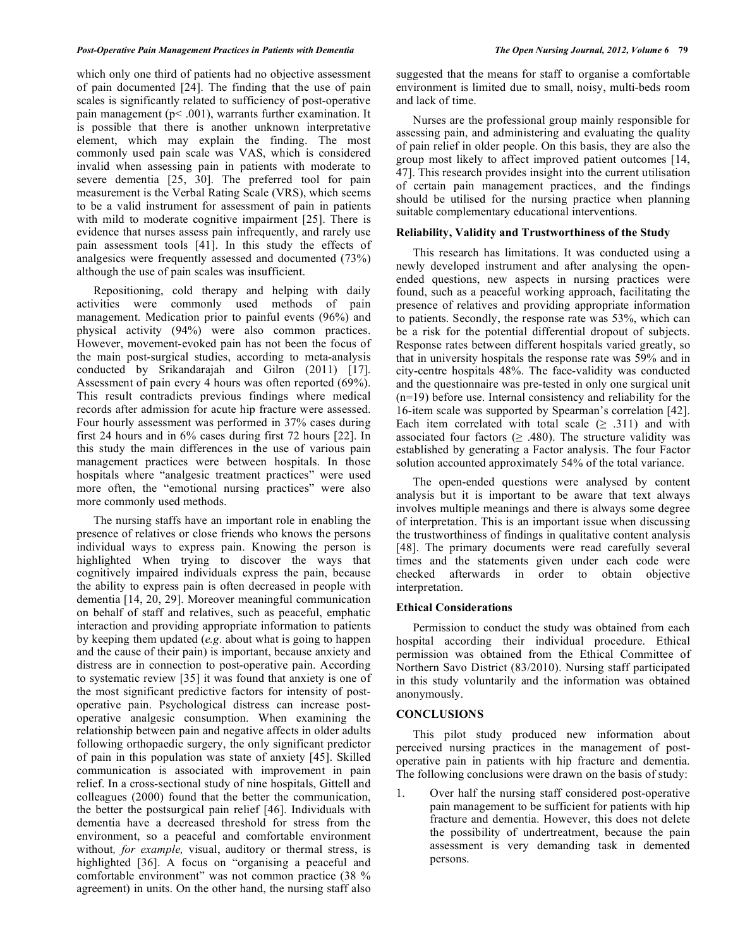#### *Post-Operative Pain Management Practices in Patients with Dementia The Open Nursing Journal, 2012, Volume 6* **79**

which only one third of patients had no objective assessment of pain documented [24]. The finding that the use of pain scales is significantly related to sufficiency of post-operative pain management (p< .001), warrants further examination. It is possible that there is another unknown interpretative element, which may explain the finding. The most commonly used pain scale was VAS, which is considered invalid when assessing pain in patients with moderate to severe dementia [25, 30]. The preferred tool for pain measurement is the Verbal Rating Scale (VRS), which seems to be a valid instrument for assessment of pain in patients with mild to moderate cognitive impairment [25]. There is evidence that nurses assess pain infrequently, and rarely use pain assessment tools [41]. In this study the effects of analgesics were frequently assessed and documented (73%) although the use of pain scales was insufficient.

 Repositioning, cold therapy and helping with daily activities were commonly used methods of pain management. Medication prior to painful events (96%) and physical activity (94%) were also common practices. However, movement-evoked pain has not been the focus of the main post-surgical studies, according to meta-analysis conducted by Srikandarajah and Gilron (2011) [17]. Assessment of pain every 4 hours was often reported (69%). This result contradicts previous findings where medical records after admission for acute hip fracture were assessed. Four hourly assessment was performed in 37% cases during first 24 hours and in 6% cases during first 72 hours [22]. In this study the main differences in the use of various pain management practices were between hospitals. In those hospitals where "analgesic treatment practices" were used more often, the "emotional nursing practices" were also more commonly used methods.

 The nursing staffs have an important role in enabling the presence of relatives or close friends who knows the persons individual ways to express pain. Knowing the person is highlighted when trying to discover the ways that cognitively impaired individuals express the pain, because the ability to express pain is often decreased in people with dementia [14, 20, 29]. Moreover meaningful communication on behalf of staff and relatives, such as peaceful, emphatic interaction and providing appropriate information to patients by keeping them updated (*e.g.* about what is going to happen and the cause of their pain) is important, because anxiety and distress are in connection to post-operative pain. According to systematic review [35] it was found that anxiety is one of the most significant predictive factors for intensity of postoperative pain. Psychological distress can increase postoperative analgesic consumption. When examining the relationship between pain and negative affects in older adults following orthopaedic surgery, the only significant predictor of pain in this population was state of anxiety [45]. Skilled communication is associated with improvement in pain relief. In a cross-sectional study of nine hospitals, Gittell and colleagues (2000) found that the better the communication, the better the postsurgical pain relief [46]. Individuals with dementia have a decreased threshold for stress from the environment, so a peaceful and comfortable environment without*, for example,* visual, auditory or thermal stress, is highlighted [36]. A focus on "organising a peaceful and comfortable environment" was not common practice (38 % agreement) in units. On the other hand, the nursing staff also

suggested that the means for staff to organise a comfortable environment is limited due to small, noisy, multi-beds room and lack of time.

 Nurses are the professional group mainly responsible for assessing pain, and administering and evaluating the quality of pain relief in older people. On this basis, they are also the group most likely to affect improved patient outcomes [14, 47]. This research provides insight into the current utilisation of certain pain management practices, and the findings should be utilised for the nursing practice when planning suitable complementary educational interventions.

#### **Reliability, Validity and Trustworthiness of the Study**

 This research has limitations. It was conducted using a newly developed instrument and after analysing the openended questions, new aspects in nursing practices were found, such as a peaceful working approach, facilitating the presence of relatives and providing appropriate information to patients. Secondly, the response rate was 53%, which can be a risk for the potential differential dropout of subjects. Response rates between different hospitals varied greatly, so that in university hospitals the response rate was 59% and in city-centre hospitals 48%. The face-validity was conducted and the questionnaire was pre-tested in only one surgical unit (n=19) before use. Internal consistency and reliability for the 16-item scale was supported by Spearman's correlation [42]. Each item correlated with total scale  $( \geq .311)$  and with associated four factors  $( \geq .480)$ . The structure validity was established by generating a Factor analysis. The four Factor solution accounted approximately 54% of the total variance.

 The open-ended questions were analysed by content analysis but it is important to be aware that text always involves multiple meanings and there is always some degree of interpretation. This is an important issue when discussing the trustworthiness of findings in qualitative content analysis [48]. The primary documents were read carefully several times and the statements given under each code were checked afterwards in order to obtain objective interpretation.

### **Ethical Considerations**

 Permission to conduct the study was obtained from each hospital according their individual procedure. Ethical permission was obtained from the Ethical Committee of Northern Savo District (83/2010). Nursing staff participated in this study voluntarily and the information was obtained anonymously.

#### **CONCLUSIONS**

 This pilot study produced new information about perceived nursing practices in the management of postoperative pain in patients with hip fracture and dementia. The following conclusions were drawn on the basis of study:

1. Over half the nursing staff considered post-operative pain management to be sufficient for patients with hip fracture and dementia. However, this does not delete the possibility of undertreatment, because the pain assessment is very demanding task in demented persons.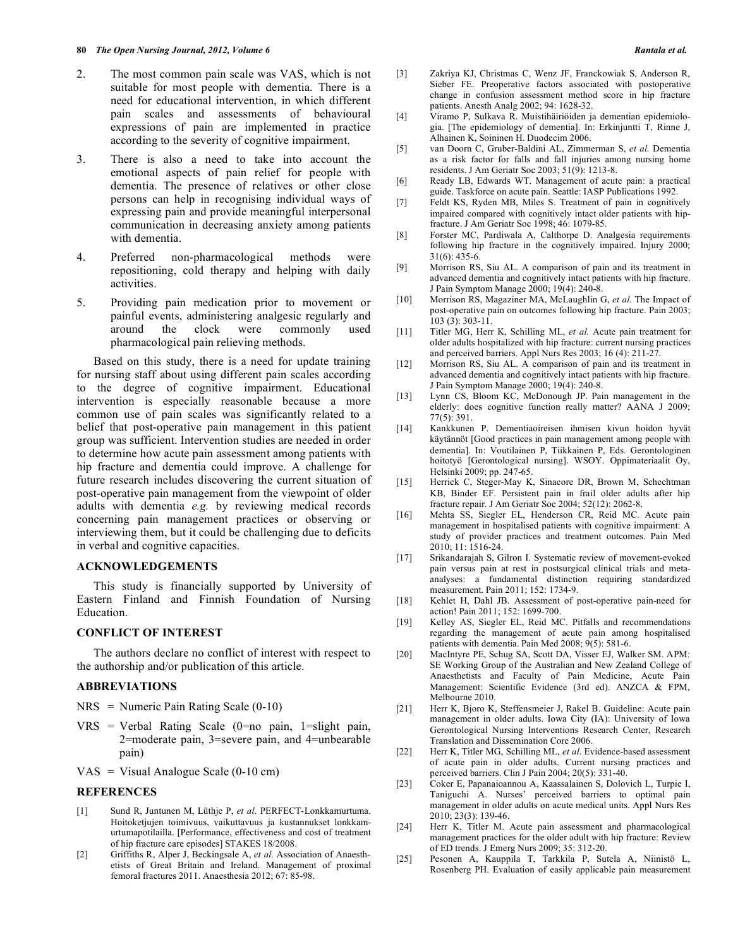- 2. The most common pain scale was VAS, which is not suitable for most people with dementia. There is a need for educational intervention, in which different pain scales and assessments of behavioural expressions of pain are implemented in practice according to the severity of cognitive impairment.
- 3. There is also a need to take into account the emotional aspects of pain relief for people with dementia. The presence of relatives or other close persons can help in recognising individual ways of expressing pain and provide meaningful interpersonal communication in decreasing anxiety among patients with dementia.
- 4. Preferred non-pharmacological methods were repositioning, cold therapy and helping with daily activities.
- 5. Providing pain medication prior to movement or painful events, administering analgesic regularly and around the clock were commonly used pharmacological pain relieving methods.

 Based on this study, there is a need for update training for nursing staff about using different pain scales according to the degree of cognitive impairment. Educational intervention is especially reasonable because a more common use of pain scales was significantly related to a belief that post-operative pain management in this patient group was sufficient. Intervention studies are needed in order to determine how acute pain assessment among patients with hip fracture and dementia could improve. A challenge for future research includes discovering the current situation of post-operative pain management from the viewpoint of older adults with dementia *e.g.* by reviewing medical records concerning pain management practices or observing or interviewing them, but it could be challenging due to deficits in verbal and cognitive capacities.

# **ACKNOWLEDGEMENTS**

 This study is financially supported by University of Eastern Finland and Finnish Foundation of Nursing Education.

# **CONFLICT OF INTEREST**

 The authors declare no conflict of interest with respect to the authorship and/or publication of this article.

#### **ABBREVIATIONS**

- $NRS =$  Numeric Pain Rating Scale (0-10)
- $VRS = Verbal$  Rating Scale (0=no pain, 1=slight pain, 2=moderate pain, 3=severe pain, and 4=unbearable pain)
- $VAS = Visual Analogue Scale (0-10 cm)$

# **REFERENCES**

- [1] Sund R, Juntunen M, Lüthje P, *et al*. PERFECT-Lonkkamurtuma. Hoitoketjujen toimivuus, vaikuttavuus ja kustannukset lonkkamurtumapotilailla. [Performance, effectiveness and cost of treatment of hip fracture care episodes] STAKES 18/2008.
- [2] Griffiths R, Alper J, Beckingsale A, *et al.* Association of Anaesthetists of Great Britain and Ireland. Management of proximal femoral fractures 2011. Anaesthesia 2012; 67: 85-98.
- [3] Zakriya KJ, Christmas C, Wenz JF, Franckowiak S, Anderson R, Sieber FE. Preoperative factors associated with postoperative change in confusion assessment method score in hip fracture patients. Anesth Analg 2002; 94: 1628-32.
- [4] Viramo P, Sulkava R. Muistihäiriöiden ja dementian epidemiologia. [The epidemiology of dementia]. In: Erkinjuntti T, Rinne J, Alhainen K, Soininen H. Duodecim 2006.
- [5] van Doorn C, Gruber-Baldini AL, Zimmerman S, *et al.* Dementia as a risk factor for falls and fall injuries among nursing home residents. J Am Geriatr Soc 2003; 51(9): 1213-8.
- [6] Ready LB, Edwards WT. Management of acute pain: a practical guide. Taskforce on acute pain. Seattle: IASP Publications 1992.
- [7] Feldt KS, Ryden MB, Miles S. Treatment of pain in cognitively impaired compared with cognitively intact older patients with hipfracture. J Am Geriatr Soc 1998; 46: 1079-85.
- [8] Forster MC, Pardiwala A, Calthorpe D. Analgesia requirements following hip fracture in the cognitively impaired. Injury 2000; 31(6): 435-6.
- [9] Morrison RS, Siu AL. A comparison of pain and its treatment in advanced dementia and cognitively intact patients with hip fracture. J Pain Symptom Manage 2000; 19(4): 240-8.
- [10] Morrison RS, Magaziner MA, McLaughlin G, *et al*. The Impact of post-operative pain on outcomes following hip fracture. Pain 2003; 103 (3): 303-11.
- [11] Titler MG, Herr K, Schilling ML, *et al.* Acute pain treatment for older adults hospitalized with hip fracture: current nursing practices and perceived barriers. Appl Nurs Res 2003; 16 (4): 211-27.
- [12] Morrison RS, Siu AL. A comparison of pain and its treatment in advanced dementia and cognitively intact patients with hip fracture. J Pain Symptom Manage 2000; 19(4): 240-8.
- [13] Lynn CS, Bloom KC, McDonough JP. Pain management in the elderly: does cognitive function really matter? AANA J 2009; 77(5): 391.
- [14] Kankkunen P. Dementiaoireisen ihmisen kivun hoidon hyvät käytännöt [Good practices in pain management among people with dementia]. In: Voutilainen P, Tiikkainen P, Eds. Gerontologinen hoitotyö [Gerontological nursing]. WSOY. Oppimateriaalit Oy, Helsinki 2009; pp. 247-65.
- [15] Herrick C, Steger-May K, Sinacore DR, Brown M, Schechtman KB, Binder EF. Persistent pain in frail older adults after hip fracture repair. J Am Geriatr Soc 2004; 52(12): 2062-8.
- [16] Mehta SS, Siegler EL, Henderson CR, Reid MC. Acute pain management in hospitalised patients with cognitive impairment: A study of provider practices and treatment outcomes. Pain Med 2010; 11: 1516-24.
- [17] Srikandarajah S, Gilron I. Systematic review of movement-evoked pain versus pain at rest in postsurgical clinical trials and metaanalyses: a fundamental distinction requiring standardized measurement. Pain 2011; 152: 1734-9.
- [18] Kehlet H, Dahl JB. Assessment of post-operative pain-need for action! Pain 2011; 152: 1699-700.
- [19] Kelley AS, Siegler EL, Reid MC. Pitfalls and recommendations regarding the management of acute pain among hospitalised patients with dementia. Pain Med 2008;  $9(5)$ : 581-6.
- [20] MacIntyre PE, Schug SA, Scott DA, Visser EJ, Walker SM. APM: SE Working Group of the Australian and New Zealand College of Anaesthetists and Faculty of Pain Medicine, Acute Pain Management: Scientific Evidence (3rd ed). ANZCA & FPM, Melbourne 2010.
- [21] Herr K, Bjoro K, Steffensmeier J, Rakel B. Guideline: Acute pain management in older adults. Iowa City (IA): University of Iowa Gerontological Nursing Interventions Research Center, Research Translation and Dissemination Core 2006.
- [22] Herr K, Titler MG, Schilling ML, *et al*. Evidence-based assessment of acute pain in older adults. Current nursing practices and perceived barriers. Clin J Pain 2004; 20(5): 331-40.
- [23] Coker E, Papanaioannou A, Kaassalainen S, Dolovich L, Turpie I, Taniguchi A. Nurses' perceived barriers to optimal pain management in older adults on acute medical units. Appl Nurs Res 2010; 23(3): 139-46.
- [24] Herr K, Titler M. Acute pain assessment and pharmacological management practices for the older adult with hip fracture: Review of ED trends. J Emerg Nurs 2009; 35: 312-20.
- [25] Pesonen A, Kauppila T, Tarkkila P, Sutela A, Niinistö L, Rosenberg PH. Evaluation of easily applicable pain measurement